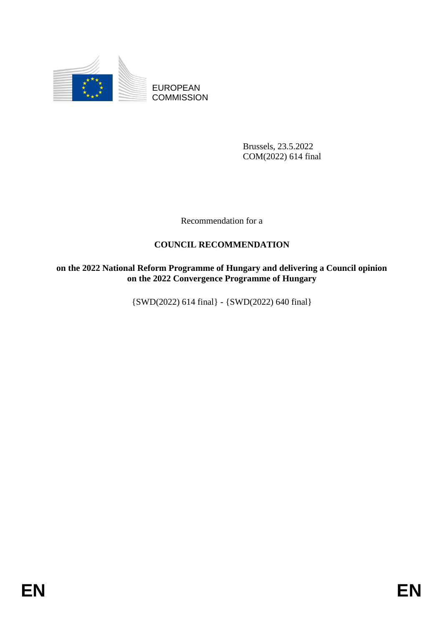

EUROPEAN **COMMISSION** 

> Brussels, 23.5.2022 COM(2022) 614 final

Recommendation for a

# **COUNCIL RECOMMENDATION**

**on the 2022 National Reform Programme of Hungary and delivering a Council opinion on the 2022 Convergence Programme of Hungary**

{SWD(2022) 614 final} - {SWD(2022) 640 final}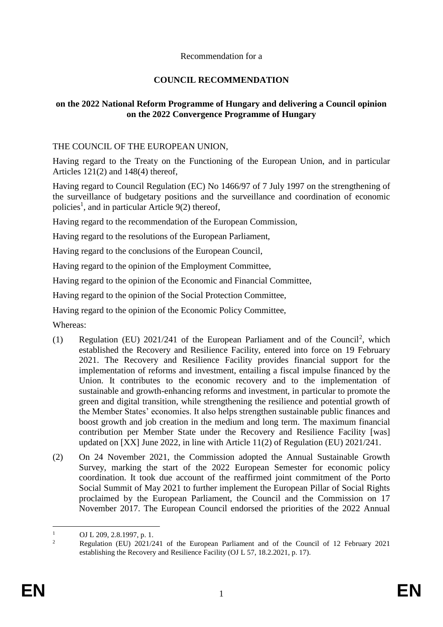### Recommendation for a

## **COUNCIL RECOMMENDATION**

### **on the 2022 National Reform Programme of Hungary and delivering a Council opinion on the 2022 Convergence Programme of Hungary**

### THE COUNCIL OF THE EUROPEAN UNION,

Having regard to the Treaty on the Functioning of the European Union, and in particular Articles 121(2) and 148(4) thereof,

Having regard to Council Regulation (EC) No 1466/97 of 7 July 1997 on the strengthening of the surveillance of budgetary positions and the surveillance and coordination of economic policies<sup>1</sup>, and in particular Article 9(2) thereof,

Having regard to the recommendation of the European Commission,

Having regard to the resolutions of the European Parliament,

Having regard to the conclusions of the European Council,

Having regard to the opinion of the Employment Committee,

Having regard to the opinion of the Economic and Financial Committee,

Having regard to the opinion of the Social Protection Committee,

Having regard to the opinion of the Economic Policy Committee,

Whereas:

- (1) Regulation (EU) 2021/241 of the European Parliament and of the Council<sup>2</sup>, which established the Recovery and Resilience Facility, entered into force on 19 February 2021. The Recovery and Resilience Facility provides financial support for the implementation of reforms and investment, entailing a fiscal impulse financed by the Union. It contributes to the economic recovery and to the implementation of sustainable and growth-enhancing reforms and investment, in particular to promote the green and digital transition, while strengthening the resilience and potential growth of the Member States' economies. It also helps strengthen sustainable public finances and boost growth and job creation in the medium and long term. The maximum financial contribution per Member State under the Recovery and Resilience Facility [was] updated on [XX] June 2022, in line with Article 11(2) of Regulation (EU) 2021/241.
- (2) On 24 November 2021, the Commission adopted the Annual Sustainable Growth Survey, marking the start of the 2022 European Semester for economic policy coordination. It took due account of the reaffirmed joint commitment of the Porto Social Summit of May 2021 to further implement the European Pillar of Social Rights proclaimed by the European Parliament, the Council and the Commission on 17 November 2017. The European Council endorsed the priorities of the 2022 Annual

 $\bar{1}$ <sup>1</sup> OJ L 209, 2.8.1997, p. 1.

<sup>2</sup> Regulation (EU) 2021/241 of the European Parliament and of the Council of 12 February 2021 establishing the Recovery and Resilience Facility (OJ L 57, 18.2.2021, p. 17).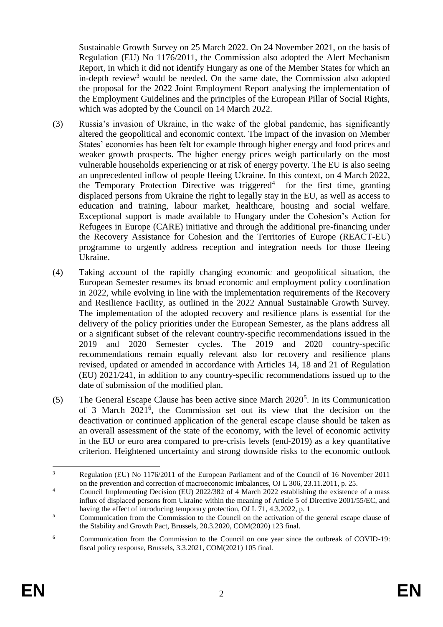Sustainable Growth Survey on 25 March 2022. On 24 November 2021, on the basis of Regulation (EU) No 1176/2011, the Commission also adopted the Alert Mechanism Report, in which it did not identify Hungary as one of the Member States for which an in-depth review<sup>3</sup> would be needed. On the same date, the Commission also adopted the proposal for the 2022 Joint Employment Report analysing the implementation of the Employment Guidelines and the principles of the European Pillar of Social Rights, which was adopted by the Council on 14 March 2022.

- (3) Russia's invasion of Ukraine, in the wake of the global pandemic, has significantly altered the geopolitical and economic context. The impact of the invasion on Member States' economies has been felt for example through higher energy and food prices and weaker growth prospects. The higher energy prices weigh particularly on the most vulnerable households experiencing or at risk of energy poverty. The EU is also seeing an unprecedented inflow of people fleeing Ukraine. In this context, on 4 March 2022, the Temporary Protection Directive was triggered<sup>4</sup> for the first time, granting displaced persons from Ukraine the right to legally stay in the EU, as well as access to education and training, labour market, healthcare, housing and social welfare. Exceptional support is made available to Hungary under the Cohesion's Action for Refugees in Europe (CARE) initiative and through the additional pre-financing under the Recovery Assistance for Cohesion and the Territories of Europe (REACT-EU) programme to urgently address reception and integration needs for those fleeing Ukraine.
- (4) Taking account of the rapidly changing economic and geopolitical situation, the European Semester resumes its broad economic and employment policy coordination in 2022, while evolving in line with the implementation requirements of the Recovery and Resilience Facility, as outlined in the 2022 Annual Sustainable Growth Survey. The implementation of the adopted recovery and resilience plans is essential for the delivery of the policy priorities under the European Semester, as the plans address all or a significant subset of the relevant country-specific recommendations issued in the 2019 and 2020 Semester cycles. The 2019 and 2020 country-specific recommendations remain equally relevant also for recovery and resilience plans revised, updated or amended in accordance with Articles 14, 18 and 21 of Regulation (EU) 2021/241, in addition to any country-specific recommendations issued up to the date of submission of the modified plan.
- (5) The General Escape Clause has been active since March 2020<sup>5</sup>. In its Communication of 3 March 2021<sup>6</sup> , the Commission set out its view that the decision on the deactivation or continued application of the general escape clause should be taken as an overall assessment of the state of the economy, with the level of economic activity in the EU or euro area compared to pre-crisis levels (end-2019) as a key quantitative criterion. Heightened uncertainty and strong downside risks to the economic outlook

 $\overline{3}$ <sup>3</sup> Regulation (EU) No 1176/2011 of the European Parliament and of the Council of 16 November 2011 on the prevention and correction of macroeconomic imbalances, OJ L 306, 23.11.2011, p. 25.

<sup>&</sup>lt;sup>4</sup> Council Implementing Decision (EU) 2022/382 of 4 March 2022 establishing the existence of a mass influx of displaced persons from Ukraine within the meaning of Article 5 of Directive 2001/55/EC, and having the effect of introducing temporary protection, OJ L 71, 4.3.2022, p. 1

 $5$  Communication from the Commission to the Council on the activation of the general escape clause of the Stability and Growth Pact, Brussels, 20.3.2020, COM(2020) 123 final.

<sup>&</sup>lt;sup>6</sup> Communication from the Commission to the Council on one year since the outbreak of COVID-19: fiscal policy response, Brussels, 3.3.2021, COM(2021) 105 final.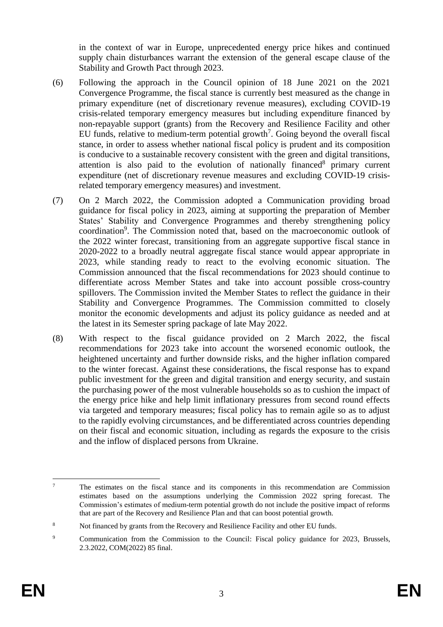in the context of war in Europe, unprecedented energy price hikes and continued supply chain disturbances warrant the extension of the general escape clause of the Stability and Growth Pact through 2023.

- (6) Following the approach in the Council opinion of 18 June 2021 on the 2021 Convergence Programme, the fiscal stance is currently best measured as the change in primary expenditure (net of discretionary revenue measures), excluding COVID-19 crisis-related temporary emergency measures but including expenditure financed by non-repayable support (grants) from the Recovery and Resilience Facility and other EU funds, relative to medium-term potential growth<sup>7</sup>. Going beyond the overall fiscal stance, in order to assess whether national fiscal policy is prudent and its composition is conducive to a sustainable recovery consistent with the green and digital transitions, attention is also paid to the evolution of nationally financed $8$  primary current expenditure (net of discretionary revenue measures and excluding COVID-19 crisisrelated temporary emergency measures) and investment.
- (7) On 2 March 2022, the Commission adopted a Communication providing broad guidance for fiscal policy in 2023, aiming at supporting the preparation of Member States' Stability and Convergence Programmes and thereby strengthening policy coordination<sup>9</sup>. The Commission noted that, based on the macroeconomic outlook of the 2022 winter forecast, transitioning from an aggregate supportive fiscal stance in 2020-2022 to a broadly neutral aggregate fiscal stance would appear appropriate in 2023, while standing ready to react to the evolving economic situation. The Commission announced that the fiscal recommendations for 2023 should continue to differentiate across Member States and take into account possible cross-country spillovers. The Commission invited the Member States to reflect the guidance in their Stability and Convergence Programmes. The Commission committed to closely monitor the economic developments and adjust its policy guidance as needed and at the latest in its Semester spring package of late May 2022.
- (8) With respect to the fiscal guidance provided on 2 March 2022, the fiscal recommendations for 2023 take into account the worsened economic outlook, the heightened uncertainty and further downside risks, and the higher inflation compared to the winter forecast. Against these considerations, the fiscal response has to expand public investment for the green and digital transition and energy security, and sustain the purchasing power of the most vulnerable households so as to cushion the impact of the energy price hike and help limit inflationary pressures from second round effects via targeted and temporary measures; fiscal policy has to remain agile so as to adjust to the rapidly evolving circumstances, and be differentiated across countries depending on their fiscal and economic situation, including as regards the exposure to the crisis and the inflow of displaced persons from Ukraine.

<sup>&</sup>lt;u>.</u>  $7 \text{ The estimates on the fiscal stance and its components in this recommendation are Commission.}$ estimates based on the assumptions underlying the Commission 2022 spring forecast. The Commission's estimates of medium-term potential growth do not include the positive impact of reforms that are part of the Recovery and Resilience Plan and that can boost potential growth.

<sup>8</sup> Not financed by grants from the Recovery and Resilience Facility and other EU funds.

<sup>&</sup>lt;sup>9</sup> Communication from the Commission to the Council: Fiscal policy guidance for 2023, Brussels, 2.3.2022, COM(2022) 85 final.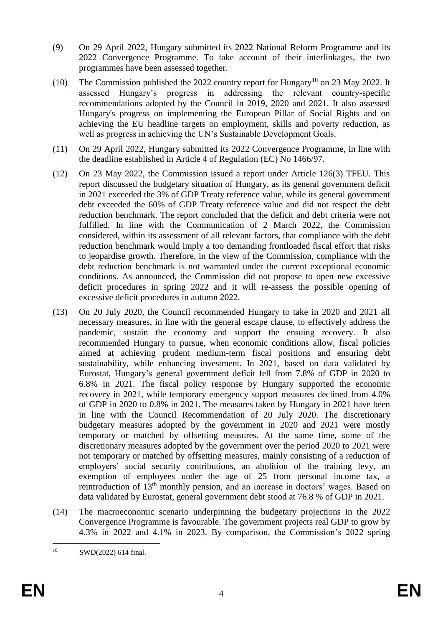- (9) On 29 April 2022, Hungary submitted its 2022 National Reform Programme and its 2022 Convergence Programme. To take account of their interlinkages, the two programmes have been assessed together.
- (10) The Commission published the 2022 country report for Hungary<sup>10</sup> on 23 May 2022. It assessed Hungary's progress in addressing the relevant country-specific recommendations adopted by the Council in 2019, 2020 and 2021. It also assessed Hungary's progress on implementing the European Pillar of Social Rights and on achieving the EU headline targets on employment, skills and poverty reduction, as well as progress in achieving the UN's Sustainable Development Goals.
- (11) On 29 April 2022, Hungary submitted its 2022 Convergence Programme, in line with the deadline established in Article 4 of Regulation (EC) No 1466/97.
- (12) On 23 May 2022, the Commission issued a report under Article 126(3) TFEU. This report discussed the budgetary situation of Hungary, as its general government deficit in 2021 exceeded the 3% of GDP Treaty reference value, while its general government debt exceeded the 60% of GDP Treaty reference value and did not respect the debt reduction benchmark. The report concluded that the deficit and debt criteria were not fulfilled. In line with the Communication of 2 March 2022, the Commission considered, within its assessment of all relevant factors, that compliance with the debt reduction benchmark would imply a too demanding frontloaded fiscal effort that risks to jeopardise growth. Therefore, in the view of the Commission, compliance with the debt reduction benchmark is not warranted under the current exceptional economic conditions. As announced, the Commission did not propose to open new excessive deficit procedures in spring 2022 and it will re-assess the possible opening of excessive deficit procedures in autumn 2022.
- (13) On 20 July 2020, the Council recommended Hungary to take in 2020 and 2021 all necessary measures, in line with the general escape clause, to effectively address the pandemic, sustain the economy and support the ensuing recovery. It also recommended Hungary to pursue, when economic conditions allow, fiscal policies aimed at achieving prudent medium-term fiscal positions and ensuring debt sustainability, while enhancing investment. In 2021, based on data validated by Eurostat, Hungary's general government deficit fell from 7.8% of GDP in 2020 to 6.8% in 2021. The fiscal policy response by Hungary supported the economic recovery in 2021, while temporary emergency support measures declined from 4.0% of GDP in 2020 to 0.8% in 2021. The measures taken by Hungary in 2021 have been in line with the Council Recommendation of 20 July 2020. The discretionary budgetary measures adopted by the government in 2020 and 2021 were mostly temporary or matched by offsetting measures. At the same time, some of the discretionary measures adopted by the government over the period 2020 to 2021 were not temporary or matched by offsetting measures, mainly consisting of a reduction of employers' social security contributions, an abolition of the training levy, an exemption of employees under the age of 25 from personal income tax, a reintroduction of 13th monthly pension, and an increase in doctors' wages. Based on data validated by Eurostat, general government debt stood at 76.8 % of GDP in 2021.
- (14) The macroeconomic scenario underpinning the budgetary projections in the 2022 Convergence Programme is favourable. The government projects real GDP to grow by 4.3% in 2022 and 4.1% in 2023. By comparison, the Commission's 2022 spring

 $10^{\circ}$ SWD(2022) 614 final.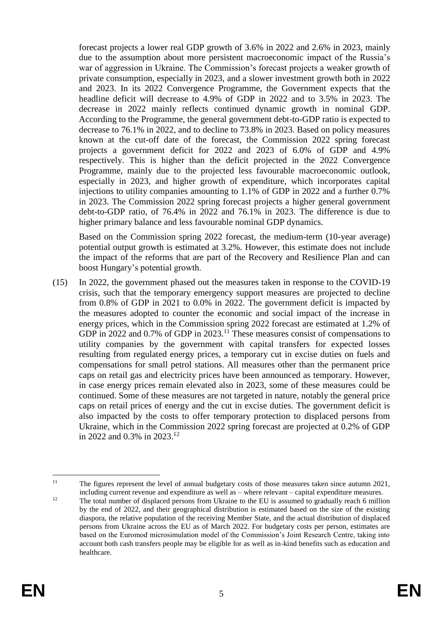forecast projects a lower real GDP growth of 3.6% in 2022 and 2.6% in 2023, mainly due to the assumption about more persistent macroeconomic impact of the Russia's war of aggression in Ukraine. The Commission's forecast projects a weaker growth of private consumption, especially in 2023, and a slower investment growth both in 2022 and 2023. In its 2022 Convergence Programme, the Government expects that the headline deficit will decrease to 4.9% of GDP in 2022 and to 3.5% in 2023. The decrease in 2022 mainly reflects continued dynamic growth in nominal GDP. According to the Programme, the general government debt-to-GDP ratio is expected to decrease to 76.1% in 2022, and to decline to 73.8% in 2023. Based on policy measures known at the cut-off date of the forecast, the Commission 2022 spring forecast projects a government deficit for 2022 and 2023 of 6.0% of GDP and 4.9% respectively. This is higher than the deficit projected in the 2022 Convergence Programme, mainly due to the projected less favourable macroeconomic outlook, especially in 2023, and higher growth of expenditure, which incorporates capital injections to utility companies amounting to 1.1% of GDP in 2022 and a further 0.7% in 2023. The Commission 2022 spring forecast projects a higher general government debt-to-GDP ratio, of 76.4% in 2022 and 76.1% in 2023. The difference is due to higher primary balance and less favourable nominal GDP dynamics.

Based on the Commission spring 2022 forecast, the medium-term (10-year average) potential output growth is estimated at 3.2%. However, this estimate does not include the impact of the reforms that are part of the Recovery and Resilience Plan and can boost Hungary's potential growth.

(15) In 2022, the government phased out the measures taken in response to the COVID-19 crisis, such that the temporary emergency support measures are projected to decline from 0.8% of GDP in 2021 to 0.0% in 2022. The government deficit is impacted by the measures adopted to counter the economic and social impact of the increase in energy prices, which in the Commission spring 2022 forecast are estimated at 1.2% of GDP in 2022 and 0.7% of GDP in 2023.<sup>11</sup> These measures consist of compensations to utility companies by the government with capital transfers for expected losses resulting from regulated energy prices, a temporary cut in excise duties on fuels and compensations for small petrol stations. All measures other than the permanent price caps on retail gas and electricity prices have been announced as temporary. However, in case energy prices remain elevated also in 2023, some of these measures could be continued. Some of these measures are not targeted in nature, notably the general price caps on retail prices of energy and the cut in excise duties. The government deficit is also impacted by the costs to offer temporary protection to displaced persons from Ukraine, which in the Commission 2022 spring forecast are projected at 0.2% of GDP in 2022 and 0.3% in 2023. 12

 $11$ <sup>11</sup> The figures represent the level of annual budgetary costs of those measures taken since autumn 2021, including current revenue and expenditure as well as – where relevant – capital expenditure measures.

<sup>&</sup>lt;sup>12</sup> The total number of displaced persons from Ukraine to the EU is assumed to gradually reach 6 million by the end of 2022, and their geographical distribution is estimated based on the size of the existing diaspora, the relative population of the receiving Member State, and the actual distribution of displaced persons from Ukraine across the EU as of March 2022. For budgetary costs per person, estimates are based on the Euromod microsimulation model of the Commission's Joint Research Centre, taking into account both cash transfers people may be eligible for as well as in-kind benefits such as education and healthcare.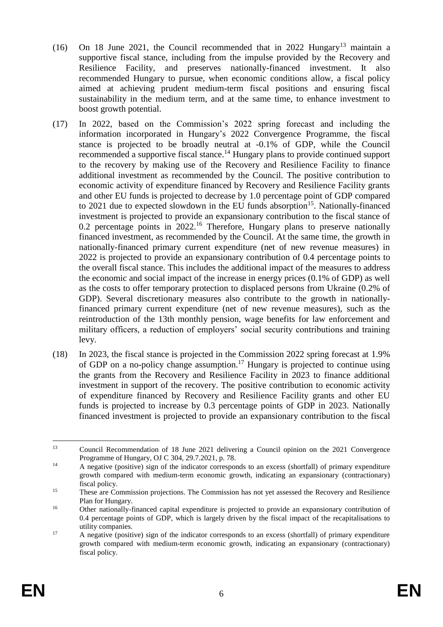- (16) On 18 June 2021, the Council recommended that in 2022 Hungary<sup>13</sup> maintain a supportive fiscal stance, including from the impulse provided by the Recovery and Resilience Facility, and preserves nationally-financed investment. It also recommended Hungary to pursue, when economic conditions allow, a fiscal policy aimed at achieving prudent medium-term fiscal positions and ensuring fiscal sustainability in the medium term, and at the same time, to enhance investment to boost growth potential.
- (17) In 2022, based on the Commission's 2022 spring forecast and including the information incorporated in Hungary's 2022 Convergence Programme, the fiscal stance is projected to be broadly neutral at -0.1% of GDP, while the Council recommended a supportive fiscal stance.<sup>14</sup> Hungary plans to provide continued support to the recovery by making use of the Recovery and Resilience Facility to finance additional investment as recommended by the Council. The positive contribution to economic activity of expenditure financed by Recovery and Resilience Facility grants and other EU funds is projected to decrease by 1.0 percentage point of GDP compared to 2021 due to expected slowdown in the EU funds absorption<sup>15</sup>. Nationally-financed investment is projected to provide an expansionary contribution to the fiscal stance of 0.2 percentage points in  $2022$ .<sup>16</sup> Therefore, Hungary plans to preserve nationally financed investment, as recommended by the Council. At the same time, the growth in nationally-financed primary current expenditure (net of new revenue measures) in 2022 is projected to provide an expansionary contribution of 0.4 percentage points to the overall fiscal stance. This includes the additional impact of the measures to address the economic and social impact of the increase in energy prices (0.1% of GDP) as well as the costs to offer temporary protection to displaced persons from Ukraine (0.2% of GDP). Several discretionary measures also contribute to the growth in nationallyfinanced primary current expenditure (net of new revenue measures), such as the reintroduction of the 13th monthly pension, wage benefits for law enforcement and military officers, a reduction of employers' social security contributions and training levy.
- (18) In 2023, the fiscal stance is projected in the Commission 2022 spring forecast at 1.9% of GDP on a no-policy change assumption.<sup>17</sup> Hungary is projected to continue using the grants from the Recovery and Resilience Facility in 2023 to finance additional investment in support of the recovery. The positive contribution to economic activity of expenditure financed by Recovery and Resilience Facility grants and other EU funds is projected to increase by 0.3 percentage points of GDP in 2023. Nationally financed investment is projected to provide an expansionary contribution to the fiscal

<sup>&</sup>lt;u>.</u> <sup>13</sup> Council Recommendation of 18 June 2021 delivering a Council opinion on the 2021 Convergence Programme of Hungary, OJ C 304, 29.7.2021, p. 78.

<sup>&</sup>lt;sup>14</sup> A negative (positive) sign of the indicator corresponds to an excess (shortfall) of primary expenditure growth compared with medium-term economic growth, indicating an expansionary (contractionary) fiscal policy.

<sup>&</sup>lt;sup>15</sup> These are Commission projections. The Commission has not yet assessed the Recovery and Resilience Plan for Hungary.

<sup>&</sup>lt;sup>16</sup> Other nationally-financed capital expenditure is projected to provide an expansionary contribution of 0.4 percentage points of GDP, which is largely driven by the fiscal impact of the recapitalisations to utility companies.

<sup>&</sup>lt;sup>17</sup> A negative (positive) sign of the indicator corresponds to an excess (shortfall) of primary expenditure growth compared with medium-term economic growth, indicating an expansionary (contractionary) fiscal policy.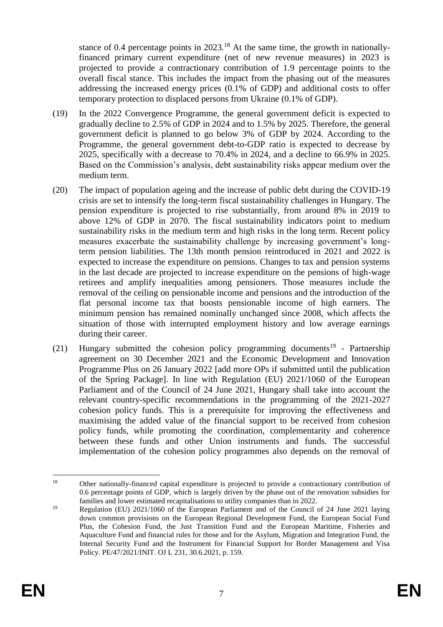stance of 0.4 percentage points in  $2023$ <sup>18</sup> At the same time, the growth in nationallyfinanced primary current expenditure (net of new revenue measures) in 2023 is projected to provide a contractionary contribution of 1.9 percentage points to the overall fiscal stance. This includes the impact from the phasing out of the measures addressing the increased energy prices (0.1% of GDP) and additional costs to offer temporary protection to displaced persons from Ukraine (0.1% of GDP).

- (19) In the 2022 Convergence Programme, the general government deficit is expected to gradually decline to 2.5% of GDP in 2024 and to 1.5% by 2025. Therefore, the general government deficit is planned to go below 3% of GDP by 2024. According to the Programme, the general government debt-to-GDP ratio is expected to decrease by 2025, specifically with a decrease to 70.4% in 2024, and a decline to 66.9% in 2025. Based on the Commission's analysis, debt sustainability risks appear medium over the medium term.
- (20) The impact of population ageing and the increase of public debt during the COVID-19 crisis are set to intensify the long-term fiscal sustainability challenges in Hungary. The pension expenditure is projected to rise substantially, from around 8% in 2019 to above 12% of GDP in 2070. The fiscal sustainability indicators point to medium sustainability risks in the medium term and high risks in the long term. Recent policy measures exacerbate the sustainability challenge by increasing government's longterm pension liabilities. The 13th month pension reintroduced in 2021 and 2022 is expected to increase the expenditure on pensions. Changes to tax and pension systems in the last decade are projected to increase expenditure on the pensions of high-wage retirees and amplify inequalities among pensioners. Those measures include the removal of the ceiling on pensionable income and pensions and the introduction of the flat personal income tax that boosts pensionable income of high earners. The minimum pension has remained nominally unchanged since 2008, which affects the situation of those with interrupted employment history and low average earnings during their career.
- $(21)$  Hungary submitted the cohesion policy programming documents<sup>19</sup> Partnership agreement on 30 December 2021 and the Economic Development and Innovation Programme Plus on 26 January 2022 [add more OPs if submitted until the publication of the Spring Package]. In line with Regulation (EU) 2021/1060 of the European Parliament and of the Council of 24 June 2021, Hungary shall take into account the relevant country-specific recommendations in the programming of the 2021-2027 cohesion policy funds. This is a prerequisite for improving the effectiveness and maximising the added value of the financial support to be received from cohesion policy funds, while promoting the coordination, complementarity and coherence between these funds and other Union instruments and funds. The successful implementation of the cohesion policy programmes also depends on the removal of

<sup>1</sup> <sup>18</sup> Other nationally-financed capital expenditure is projected to provide a contractionary contribution of 0.6 percentage points of GDP, which is largely driven by the phase out of the renovation subsidies for families and lower estimated recapitalisations to utility companies than in 2022.

<sup>19</sup> Regulation (EU) 2021/1060 of the European Parliament and of the Council of 24 June 2021 laying down common provisions on the European Regional Development Fund, the European Social Fund Plus, the Cohesion Fund, the Just Transition Fund and the European Maritime, Fisheries and Aquaculture Fund and financial rules for those and for the Asylum, Migration and Integration Fund, the Internal Security Fund and the Instrument for Financial Support for Border Management and Visa Policy. PE/47/2021/INIT. OJ L 231, 30.6.2021, p. 159.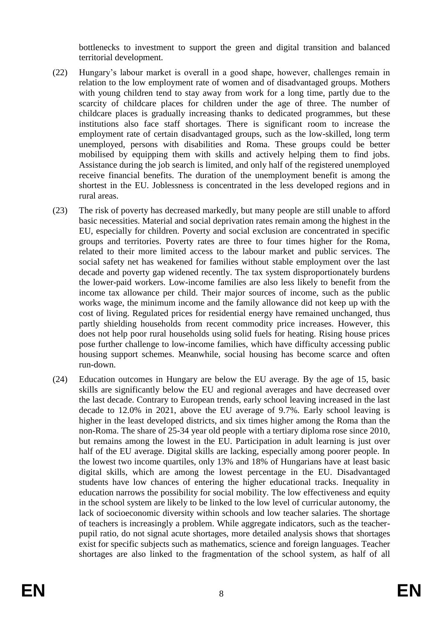bottlenecks to investment to support the green and digital transition and balanced territorial development.

- (22) Hungary's labour market is overall in a good shape, however, challenges remain in relation to the low employment rate of women and of disadvantaged groups. Mothers with young children tend to stay away from work for a long time, partly due to the scarcity of childcare places for children under the age of three. The number of childcare places is gradually increasing thanks to dedicated programmes, but these institutions also face staff shortages. There is significant room to increase the employment rate of certain disadvantaged groups, such as the low-skilled, long term unemployed, persons with disabilities and Roma. These groups could be better mobilised by equipping them with skills and actively helping them to find jobs. Assistance during the job search is limited, and only half of the registered unemployed receive financial benefits. The duration of the unemployment benefit is among the shortest in the EU. Joblessness is concentrated in the less developed regions and in rural areas.
- (23) The risk of poverty has decreased markedly, but many people are still unable to afford basic necessities. Material and social deprivation rates remain among the highest in the EU, especially for children. Poverty and social exclusion are concentrated in specific groups and territories. Poverty rates are three to four times higher for the Roma, related to their more limited access to the labour market and public services. The social safety net has weakened for families without stable employment over the last decade and poverty gap widened recently. The tax system disproportionately burdens the lower-paid workers. Low-income families are also less likely to benefit from the income tax allowance per child. Their major sources of income, such as the public works wage, the minimum income and the family allowance did not keep up with the cost of living. Regulated prices for residential energy have remained unchanged, thus partly shielding households from recent commodity price increases. However, this does not help poor rural households using solid fuels for heating. Rising house prices pose further challenge to low-income families, which have difficulty accessing public housing support schemes. Meanwhile, social housing has become scarce and often run-down.
- (24) Education outcomes in Hungary are below the EU average. By the age of 15, basic skills are significantly below the EU and regional averages and have decreased over the last decade. Contrary to European trends, early school leaving increased in the last decade to 12.0% in 2021, above the EU average of 9.7%. Early school leaving is higher in the least developed districts, and six times higher among the Roma than the non-Roma. The share of 25-34 year old people with a tertiary diploma rose since 2010, but remains among the lowest in the EU. Participation in adult learning is just over half of the EU average. Digital skills are lacking, especially among poorer people. In the lowest two income quartiles, only 13% and 18% of Hungarians have at least basic digital skills, which are among the lowest percentage in the EU. Disadvantaged students have low chances of entering the higher educational tracks. Inequality in education narrows the possibility for social mobility. The low effectiveness and equity in the school system are likely to be linked to the low level of curricular autonomy, the lack of socioeconomic diversity within schools and low teacher salaries. The shortage of teachers is increasingly a problem. While aggregate indicators, such as the teacherpupil ratio, do not signal acute shortages, more detailed analysis shows that shortages exist for specific subjects such as mathematics, science and foreign languages. Teacher shortages are also linked to the fragmentation of the school system, as half of all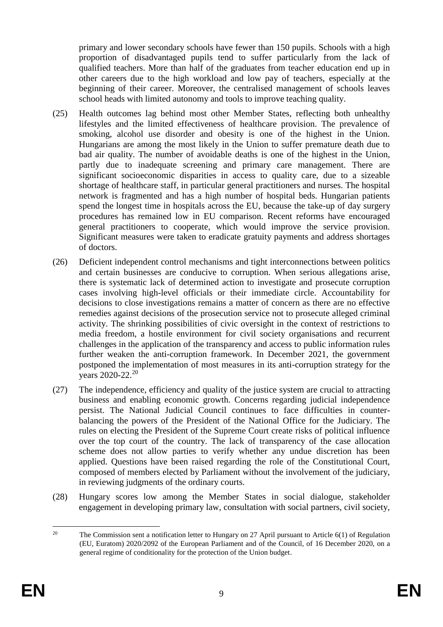primary and lower secondary schools have fewer than 150 pupils. Schools with a high proportion of disadvantaged pupils tend to suffer particularly from the lack of qualified teachers. More than half of the graduates from teacher education end up in other careers due to the high workload and low pay of teachers, especially at the beginning of their career. Moreover, the centralised management of schools leaves school heads with limited autonomy and tools to improve teaching quality.

- (25) Health outcomes lag behind most other Member States, reflecting both unhealthy lifestyles and the limited effectiveness of healthcare provision. The prevalence of smoking, alcohol use disorder and obesity is one of the highest in the Union. Hungarians are among the most likely in the Union to suffer premature death due to bad air quality. The number of avoidable deaths is one of the highest in the Union, partly due to inadequate screening and primary care management. There are significant socioeconomic disparities in access to quality care, due to a sizeable shortage of healthcare staff, in particular general practitioners and nurses. The hospital network is fragmented and has a high number of hospital beds. Hungarian patients spend the longest time in hospitals across the EU, because the take-up of day surgery procedures has remained low in EU comparison. Recent reforms have encouraged general practitioners to cooperate, which would improve the service provision. Significant measures were taken to eradicate gratuity payments and address shortages of doctors.
- (26) Deficient independent control mechanisms and tight interconnections between politics and certain businesses are conducive to corruption. When serious allegations arise, there is systematic lack of determined action to investigate and prosecute corruption cases involving high-level officials or their immediate circle. Accountability for decisions to close investigations remains a matter of concern as there are no effective remedies against decisions of the prosecution service not to prosecute alleged criminal activity. The shrinking possibilities of civic oversight in the context of restrictions to media freedom, a hostile environment for civil society organisations and recurrent challenges in the application of the transparency and access to public information rules further weaken the anti-corruption framework. In December 2021, the government postponed the implementation of most measures in its anti-corruption strategy for the vears 2020-22.<sup>20</sup>
- (27) The independence, efficiency and quality of the justice system are crucial to attracting business and enabling economic growth. Concerns regarding judicial independence persist. The National Judicial Council continues to face difficulties in counterbalancing the powers of the President of the National Office for the Judiciary. The rules on electing the President of the Supreme Court create risks of political influence over the top court of the country. The lack of transparency of the case allocation scheme does not allow parties to verify whether any undue discretion has been applied. Questions have been raised regarding the role of the Constitutional Court, composed of members elected by Parliament without the involvement of the judiciary, in reviewing judgments of the ordinary courts.
- (28) Hungary scores low among the Member States in social dialogue, stakeholder engagement in developing primary law, consultation with social partners, civil society,

 $20\degree$ The Commission sent a notification letter to Hungary on 27 April pursuant to Article  $6(1)$  of Regulation (EU, Euratom) 2020/2092 of the European Parliament and of the Council, of 16 December 2020, on a general regime of conditionality for the protection of the Union budget.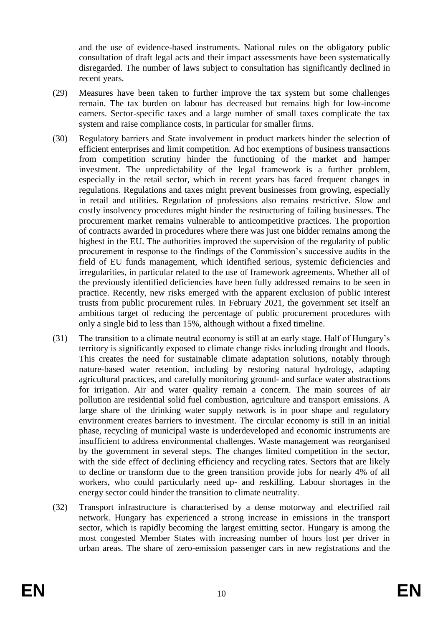and the use of evidence-based instruments. National rules on the obligatory public consultation of draft legal acts and their impact assessments have been systematically disregarded. The number of laws subject to consultation has significantly declined in recent years.

- (29) Measures have been taken to further improve the tax system but some challenges remain. The tax burden on labour has decreased but remains high for low-income earners. Sector-specific taxes and a large number of small taxes complicate the tax system and raise compliance costs, in particular for smaller firms.
- (30) Regulatory barriers and State involvement in product markets hinder the selection of efficient enterprises and limit competition. Ad hoc exemptions of business transactions from competition scrutiny hinder the functioning of the market and hamper investment. The unpredictability of the legal framework is a further problem, especially in the retail sector, which in recent years has faced frequent changes in regulations. Regulations and taxes might prevent businesses from growing, especially in retail and utilities. Regulation of professions also remains restrictive. Slow and costly insolvency procedures might hinder the restructuring of failing businesses. The procurement market remains vulnerable to anticompetitive practices. The proportion of contracts awarded in procedures where there was just one bidder remains among the highest in the EU. The authorities improved the supervision of the regularity of public procurement in response to the findings of the Commission's successive audits in the field of EU funds management, which identified serious, systemic deficiencies and irregularities, in particular related to the use of framework agreements. Whether all of the previously identified deficiencies have been fully addressed remains to be seen in practice. Recently, new risks emerged with the apparent exclusion of public interest trusts from public procurement rules. In February 2021, the government set itself an ambitious target of reducing the percentage of public procurement procedures with only a single bid to less than 15%, although without a fixed timeline.
- (31) The transition to a climate neutral economy is still at an early stage. Half of Hungary's territory is significantly exposed to climate change risks including drought and floods. This creates the need for sustainable climate adaptation solutions, notably through nature-based water retention, including by restoring natural hydrology, adapting agricultural practices, and carefully monitoring ground- and surface water abstractions for irrigation. Air and water quality remain a concern. The main sources of air pollution are residential solid fuel combustion, agriculture and transport emissions. A large share of the drinking water supply network is in poor shape and regulatory environment creates barriers to investment. The circular economy is still in an initial phase, recycling of municipal waste is underdeveloped and economic instruments are insufficient to address environmental challenges. Waste management was reorganised by the government in several steps. The changes limited competition in the sector, with the side effect of declining efficiency and recycling rates. Sectors that are likely to decline or transform due to the green transition provide jobs for nearly 4% of all workers, who could particularly need up- and reskilling. Labour shortages in the energy sector could hinder the transition to climate neutrality.
- (32) Transport infrastructure is characterised by a dense motorway and electrified rail network. Hungary has experienced a strong increase in emissions in the transport sector, which is rapidly becoming the largest emitting sector. Hungary is among the most congested Member States with increasing number of hours lost per driver in urban areas. The share of zero-emission passenger cars in new registrations and the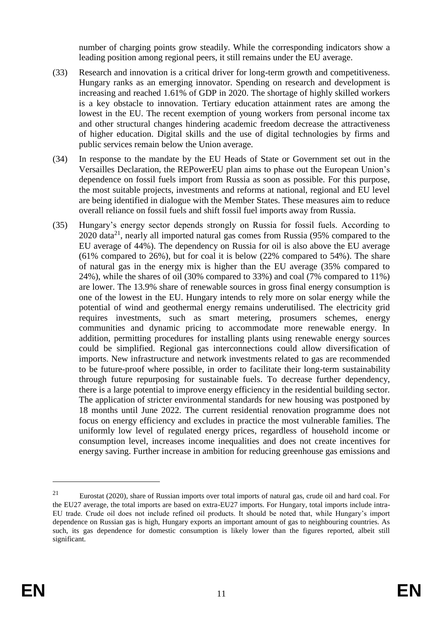number of charging points grow steadily. While the corresponding indicators show a leading position among regional peers, it still remains under the EU average.

- (33) Research and innovation is a critical driver for long-term growth and competitiveness. Hungary ranks as an emerging innovator. Spending on research and development is increasing and reached 1.61% of GDP in 2020. The shortage of highly skilled workers is a key obstacle to innovation. Tertiary education attainment rates are among the lowest in the EU. The recent exemption of young workers from personal income tax and other structural changes hindering academic freedom decrease the attractiveness of higher education. Digital skills and the use of digital technologies by firms and public services remain below the Union average.
- (34) In response to the mandate by the EU Heads of State or Government set out in the Versailles Declaration, the REPowerEU plan aims to phase out the European Union's dependence on fossil fuels import from Russia as soon as possible. For this purpose, the most suitable projects, investments and reforms at national, regional and EU level are being identified in dialogue with the Member States. These measures aim to reduce overall reliance on fossil fuels and shift fossil fuel imports away from Russia.
- (35) Hungary's energy sector depends strongly on Russia for fossil fuels. According to  $2020$  data<sup>21</sup>, nearly all imported natural gas comes from Russia (95% compared to the EU average of 44%). The dependency on Russia for oil is also above the EU average (61% compared to 26%), but for coal it is below (22% compared to 54%). The share of natural gas in the energy mix is higher than the EU average (35% compared to 24%), while the shares of oil (30% compared to 33%) and coal (7% compared to 11%) are lower. The 13.9% share of renewable sources in gross final energy consumption is one of the lowest in the EU. Hungary intends to rely more on solar energy while the potential of wind and geothermal energy remains underutilised. The electricity grid requires investments, such as smart metering, prosumers schemes, energy communities and dynamic pricing to accommodate more renewable energy. In addition, permitting procedures for installing plants using renewable energy sources could be simplified. Regional gas interconnections could allow diversification of imports. New infrastructure and network investments related to gas are recommended to be future-proof where possible, in order to facilitate their long-term sustainability through future repurposing for sustainable fuels. To decrease further dependency, there is a large potential to improve energy efficiency in the residential building sector. The application of stricter environmental standards for new housing was postponed by 18 months until June 2022. The current residential renovation programme does not focus on energy efficiency and excludes in practice the most vulnerable families. The uniformly low level of regulated energy prices, regardless of household income or consumption level, increases income inequalities and does not create incentives for energy saving. Further increase in ambition for reducing greenhouse gas emissions and

<u>.</u>

<sup>21</sup> Eurostat (2020), share of Russian imports over total imports of natural gas, crude oil and hard coal. For the EU27 average, the total imports are based on extra-EU27 imports. For Hungary, total imports include intra-EU trade. Crude oil does not include refined oil products. It should be noted that, while Hungary's import dependence on Russian gas is high, Hungary exports an important amount of gas to neighbouring countries. As such, its gas dependence for domestic consumption is likely lower than the figures reported, albeit still significant.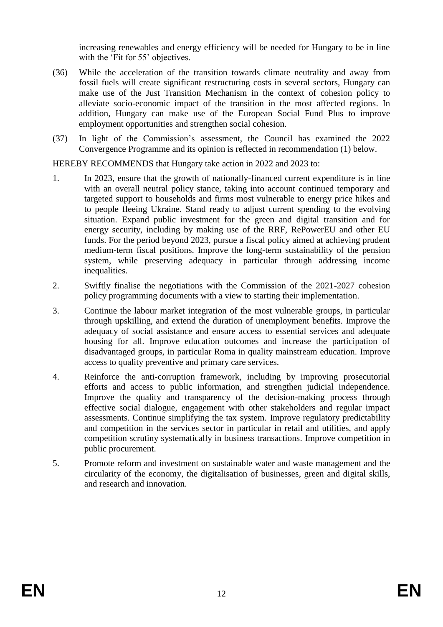increasing renewables and energy efficiency will be needed for Hungary to be in line with the 'Fit for 55' objectives.

- (36) While the acceleration of the transition towards climate neutrality and away from fossil fuels will create significant restructuring costs in several sectors, Hungary can make use of the Just Transition Mechanism in the context of cohesion policy to alleviate socio-economic impact of the transition in the most affected regions. In addition, Hungary can make use of the European Social Fund Plus to improve employment opportunities and strengthen social cohesion.
- (37) In light of the Commission's assessment, the Council has examined the 2022 Convergence Programme and its opinion is reflected in recommendation (1) below.

HEREBY RECOMMENDS that Hungary take action in 2022 and 2023 to:

- 1. In 2023, ensure that the growth of nationally-financed current expenditure is in line with an overall neutral policy stance, taking into account continued temporary and targeted support to households and firms most vulnerable to energy price hikes and to people fleeing Ukraine. Stand ready to adjust current spending to the evolving situation. Expand public investment for the green and digital transition and for energy security, including by making use of the RRF, RePowerEU and other EU funds. For the period beyond 2023, pursue a fiscal policy aimed at achieving prudent medium-term fiscal positions. Improve the long-term sustainability of the pension system, while preserving adequacy in particular through addressing income inequalities.
- 2. Swiftly finalise the negotiations with the Commission of the 2021-2027 cohesion policy programming documents with a view to starting their implementation.
- 3. Continue the labour market integration of the most vulnerable groups, in particular through upskilling, and extend the duration of unemployment benefits. Improve the adequacy of social assistance and ensure access to essential services and adequate housing for all. Improve education outcomes and increase the participation of disadvantaged groups, in particular Roma in quality mainstream education. Improve access to quality preventive and primary care services.
- 4. Reinforce the anti-corruption framework, including by improving prosecutorial efforts and access to public information, and strengthen judicial independence. Improve the quality and transparency of the decision-making process through effective social dialogue, engagement with other stakeholders and regular impact assessments. Continue simplifying the tax system. Improve regulatory predictability and competition in the services sector in particular in retail and utilities, and apply competition scrutiny systematically in business transactions. Improve competition in public procurement.
- 5. Promote reform and investment on sustainable water and waste management and the circularity of the economy, the digitalisation of businesses, green and digital skills, and research and innovation.